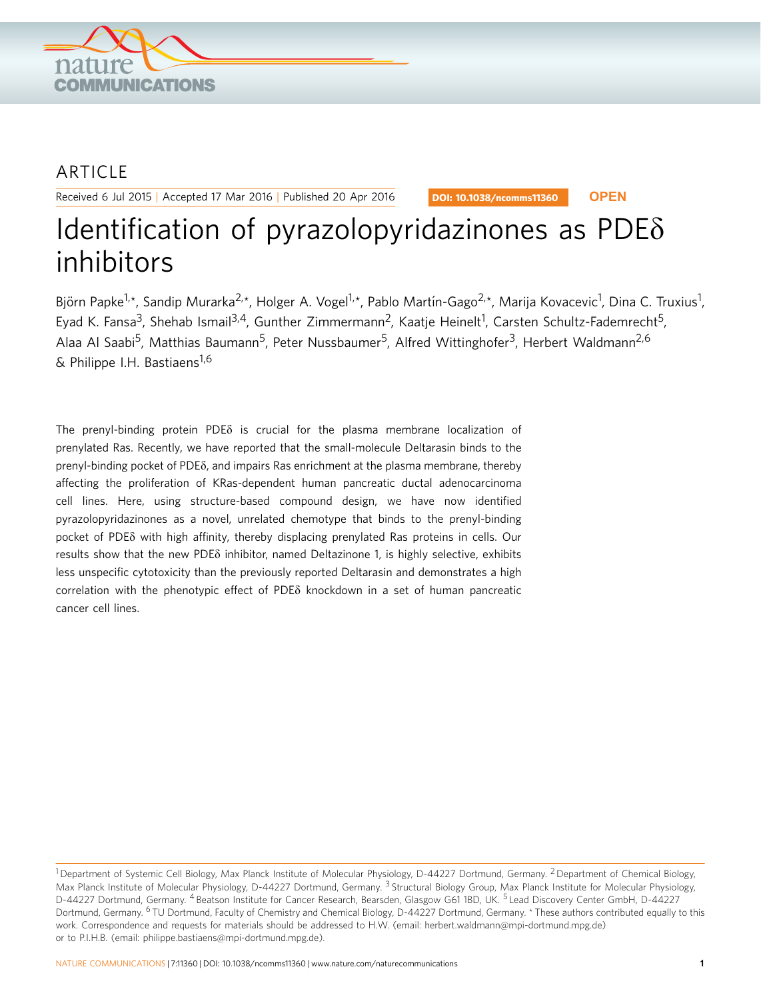

## ARTICLE

Received 6 Jul 2015 | Accepted 17 Mar 2016 | Published 20 Apr 2016

DOI: 10.1038/ncomms11360 **OPEN**

# Identification of pyrazolopyridazinones as  $PDE\delta$ inhibitors

Björn Papke<sup>1,</sup>\*, Sandip Murarka<sup>2,</sup>\*, Holger A. Vogel<sup>1,</sup>\*, Pablo Martín-Gago<sup>2,</sup>\*, Marija Kovacevic<sup>1</sup>, Dina C. Truxius<sup>1</sup>, Eyad K. Fansa<sup>3</sup>, Shehab Ismail<sup>3,4</sup>, Gunther Zimmermann<sup>2</sup>, Kaatje Heinelt<sup>1</sup>, Carsten Schultz-Fademrecht<sup>5</sup>, Alaa Al Saabi<sup>5</sup>, Matthias Baumann<sup>5</sup>, Peter Nussbaumer<sup>5</sup>, Alfred Wittinghofer<sup>3</sup>, Herbert Waldmann<sup>2,6</sup>  $\&$  Philippe I.H. Bastiaens<sup>1,6</sup>

The prenyl-binding protein PDE<sub>8</sub> is crucial for the plasma membrane localization of prenylated Ras. Recently, we have reported that the small-molecule Deltarasin binds to the prenyl-binding pocket of PDEd, and impairs Ras enrichment at the plasma membrane, thereby affecting the proliferation of KRas-dependent human pancreatic ductal adenocarcinoma cell lines. Here, using structure-based compound design, we have now identified pyrazolopyridazinones as a novel, unrelated chemotype that binds to the prenyl-binding pocket of PDEd with high affinity, thereby displacing prenylated Ras proteins in cells. Our results show that the new PDE<sub>8</sub> inhibitor, named Deltazinone 1, is highly selective, exhibits less unspecific cytotoxicity than the previously reported Deltarasin and demonstrates a high correlation with the phenotypic effect of PDEd knockdown in a set of human pancreatic cancer cell lines.

<sup>&</sup>lt;sup>1</sup> Department of Systemic Cell Biology, Max Planck Institute of Molecular Physiology, D-44227 Dortmund, Germany. <sup>2</sup> Department of Chemical Biology, Max Planck Institute of Molecular Physiology, D-44227 Dortmund, Germany. <sup>3</sup> Structural Biology Group, Max Planck Institute for Molecular Physiology, D-44227 Dortmund, Germany. <sup>4</sup> Beatson Institute for Cancer Research, Bearsden, Glasgow G61 1BD, UK. <sup>5</sup> Lead Discovery Center GmbH, D-44227 Dortmund, Germany. <sup>6</sup> TU Dortmund, Faculty of Chemistry and Chemical Biology, D-44227 Dortmund, Germany. \* These authors contributed equally to this work. Correspondence and requests for materials should be addressed to H.W. (email: herbert.waldmann@mpi-dortmund.mpg.de) or to P.I.H.B. (email: philippe.bastiaens@mpi-dortmund.mpg.de).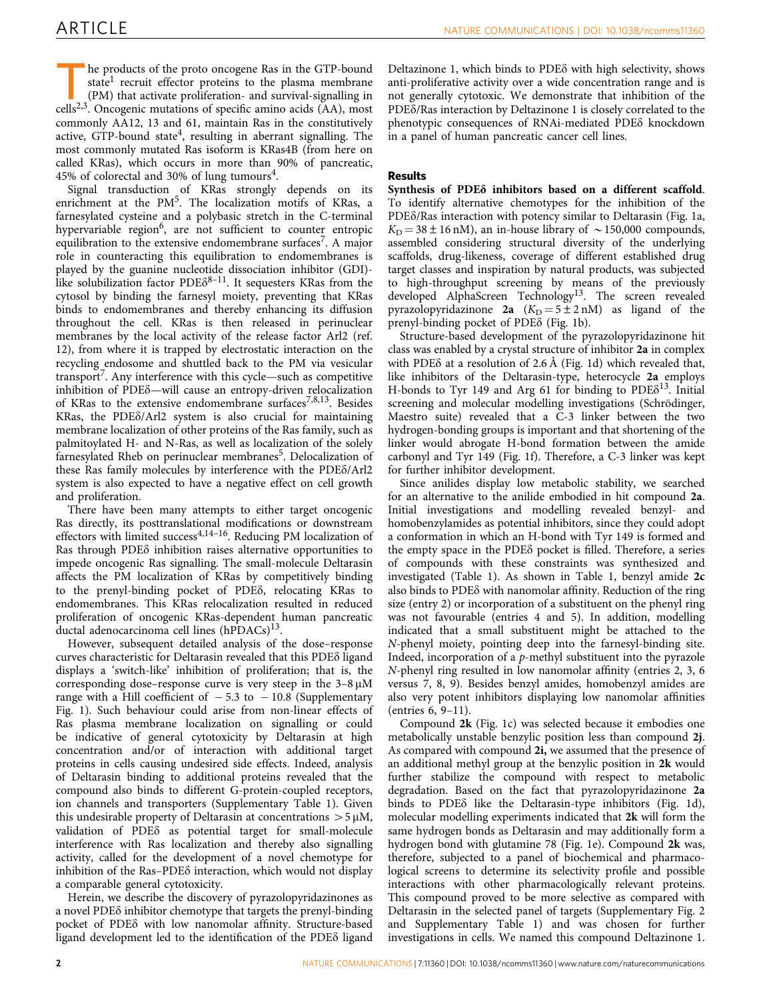T he products of the proto oncogene Ras in the GTP-bound state<sup>1</sup> recruit effector proteins to the plasma membrane (PM) that activate proliferation- and survival-signalling in cells<sup>2,3</sup>. Oncogenic mutations of specific amino acids (AA), most commonly AA12, 13 and 61, maintain Ras in the constitutively active, GTP-bound state<sup>4</sup>, resulting in aberrant signalling. The most commonly mutated Ras isoform is KRas4B (from here on called KRas), which occurs in more than 90% of pancreatic,  $45\%$  of colorectal and 30% of lung tumours<sup>4</sup>.

Signal transduction of KRas strongly depends on its enrichment at the PM<sup>5</sup>. The localization motifs of KRas, a farnesylated cysteine and a polybasic stretch in the C-terminal hypervariable region<sup>6</sup>, are not sufficient to counter entropic equilibration to the extensive endomembrane surfaces<sup>7</sup>. A major role in counteracting this equilibration to endomembranes is played by the guanine nucleotide dissociation inhibitor (GDI) like solubilization factor  $\text{PDE} \delta^{8-11}$ . It sequesters KRas from the cytosol by binding the farnesyl moiety, preventing that KRas binds to endomembranes and thereby enhancing its diffusion throughout the cell. KRas is then released in perinuclear membranes by the local activity of the release factor Arl2 (ref. 12), from where it is trapped by electrostatic interaction on the recycling endosome and shuttled back to the PM via vesicular transport<sup>7</sup>. Any interference with this cycle—such as competitive inhibition of PDE<sub>0</sub>—will cause an entropy-driven relocalization of KRas to the extensive endomembrane surfaces<sup>7,8,13</sup>. Besides KRas, the PDE $\delta$ /Arl2 system is also crucial for maintaining membrane localization of other proteins of the Ras family, such as palmitoylated H- and N-Ras, as well as localization of the solely farnesylated Rheb on perinuclear membranes<sup>5</sup>. Delocalization of these Ras family molecules by interference with the PDE $\delta$ /Arl2 system is also expected to have a negative effect on cell growth and proliferation.

There have been many attempts to either target oncogenic Ras directly, its posttranslational modifications or downstream effectors with limited success<sup>4,14–16</sup>. Reducing PM localization of Ras through PDE $\delta$  inhibition raises alternative opportunities to impede oncogenic Ras signalling. The small-molecule Deltarasin affects the PM localization of KRas by competitively binding to the prenyl-binding pocket of PDEd, relocating KRas to endomembranes. This KRas relocalization resulted in reduced proliferation of oncogenic KRas-dependent human pancreatic ductal adenocarcinoma cell lines (hPDACs)<sup>13</sup>.

However, subsequent detailed analysis of the dose–response curves characteristic for Deltarasin revealed that this PDE<sub>o</sub> ligand displays a 'switch-like' inhibition of proliferation; that is, the corresponding dose–response curve is very steep in the  $3-8 \mu M$ range with a Hill coefficient of  $-5.3$  to  $-10.8$  (Supplementary Fig. 1). Such behaviour could arise from non-linear effects of Ras plasma membrane localization on signalling or could be indicative of general cytotoxicity by Deltarasin at high concentration and/or of interaction with additional target proteins in cells causing undesired side effects. Indeed, analysis of Deltarasin binding to additional proteins revealed that the compound also binds to different G-protein-coupled receptors, ion channels and transporters (Supplementary Table 1). Given this undesirable property of Deltarasin at concentrations  $>$  5  $\mu$ M, validation of PDEd as potential target for small-molecule interference with Ras localization and thereby also signalling activity, called for the development of a novel chemotype for inhibition of the Ras–PDE $\delta$  interaction, which would not display a comparable general cytotoxicity.

Herein, we describe the discovery of pyrazolopyridazinones as a novel PDE $\delta$  inhibitor chemotype that targets the prenyl-binding pocket of PDEd with low nanomolar affinity. Structure-based ligand development led to the identification of the PDES ligand Deltazinone 1, which binds to PDEd with high selectivity, shows anti-proliferative activity over a wide concentration range and is not generally cytotoxic. We demonstrate that inhibition of the PDEd/Ras interaction by Deltazinone 1 is closely correlated to the phenotypic consequences of RNAi-mediated PDEd knockdown in a panel of human pancreatic cancer cell lines.

## Results

Synthesis of PDE<sub>0</sub> inhibitors based on a different scaffold. To identify alternative chemotypes for the inhibition of the PDEd/Ras interaction with potency similar to Deltarasin (Fig. 1a,  $K_D = 38 \pm 16$  nM), an in-house library of  $\sim$  150,000 compounds, assembled considering structural diversity of the underlying scaffolds, drug-likeness, coverage of different established drug target classes and inspiration by natural products, was subjected to high-throughput screening by means of the previously developed AlphaScreen Technology<sup>13</sup>. The screen revealed pyrazolopyridazinone 2a  $(K_D = 5 \pm 2 \text{ nM})$  as ligand of the prenyl-binding pocket of PDEd (Fig. 1b).

Structure-based development of the pyrazolopyridazinone hit class was enabled by a crystal structure of inhibitor 2a in complex with PDE $\delta$  at a resolution of 2.6 Å (Fig. 1d) which revealed that, like inhibitors of the Deltarasin-type, heterocycle 2a employs H-bonds to Tyr 149 and Arg 61 for binding to  $PDE\delta^{13}$ . Initial screening and molecular modelling investigations (Schrödinger, Maestro suite) revealed that a C-3 linker between the two hydrogen-bonding groups is important and that shortening of the linker would abrogate H-bond formation between the amide carbonyl and Tyr 149 (Fig. 1f). Therefore, a C-3 linker was kept for further inhibitor development.

Since anilides display low metabolic stability, we searched for an alternative to the anilide embodied in hit compound 2a. Initial investigations and modelling revealed benzyl- and homobenzylamides as potential inhibitors, since they could adopt a conformation in which an H-bond with Tyr 149 is formed and the empty space in the PDEd pocket is filled. Therefore, a series of compounds with these constraints was synthesized and investigated (Table 1). As shown in Table 1, benzyl amide 2c also binds to PDEd with nanomolar affinity. Reduction of the ring size (entry 2) or incorporation of a substituent on the phenyl ring was not favourable (entries 4 and 5). In addition, modelling indicated that a small substituent might be attached to the N-phenyl moiety, pointing deep into the farnesyl-binding site. Indeed, incorporation of a p-methyl substituent into the pyrazole N-phenyl ring resulted in low nanomolar affinity (entries 2, 3, 6 versus 7, 8, 9). Besides benzyl amides, homobenzyl amides are also very potent inhibitors displaying low nanomolar affinities (entries 6, 9–11).

Compound 2k (Fig. 1c) was selected because it embodies one metabolically unstable benzylic position less than compound 2j. As compared with compound 2i, we assumed that the presence of an additional methyl group at the benzylic position in 2k would further stabilize the compound with respect to metabolic degradation. Based on the fact that pyrazolopyridazinone 2a binds to PDES like the Deltarasin-type inhibitors (Fig. 1d), molecular modelling experiments indicated that 2k will form the same hydrogen bonds as Deltarasin and may additionally form a hydrogen bond with glutamine 78 (Fig. 1e). Compound 2k was, therefore, subjected to a panel of biochemical and pharmacological screens to determine its selectivity profile and possible interactions with other pharmacologically relevant proteins. This compound proved to be more selective as compared with Deltarasin in the selected panel of targets (Supplementary Fig. 2 and Supplementary Table 1) and was chosen for further investigations in cells. We named this compound Deltazinone 1.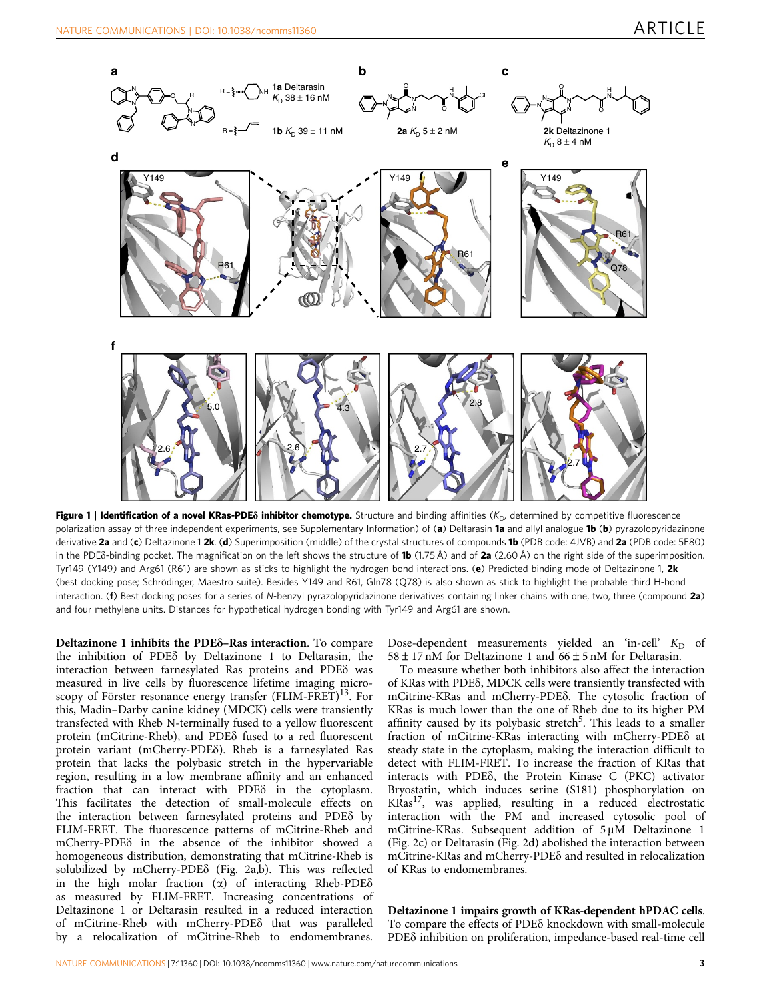

Figure 1 | Identification of a novel KRas-PDE<sub>0</sub> inhibitor chemotype. Structure and binding affinities (K<sub>D</sub>, determined by competitive fluorescence polarization assay of three independent experiments, see Supplementary Information) of (a) Deltarasin la and allyl analogue 1b (b) pyrazolopyridazinone derivative 2a and (c) Deltazinone 1 2k. (d) Superimposition (middle) of the crystal structures of compounds 1b (PDB code: 4JVB) and 2a (PDB code: 5E80) in the PDE<sub>0</sub>-binding pocket. The magnification on the left shows the structure of **1b** (1.75 Å) and of **2a** (2.60 Å) on the right side of the superimposition. Tyr149 (Y149) and Arg61 (R61) are shown as sticks to highlight the hydrogen bond interactions. (e) Predicted binding mode of Deltazinone 1, 2k (best docking pose; Schrödinger, Maestro suite). Besides Y149 and R61, Gln78 (Q78) is also shown as stick to highlight the probable third H-bond interaction. (f) Best docking poses for a series of N-benzyl pyrazolopyridazinone derivatives containing linker chains with one, two, three (compound 2a) and four methylene units. Distances for hypothetical hydrogen bonding with Tyr149 and Arg61 are shown.

Deltazinone 1 inhibits the PDEd–Ras interaction. To compare the inhibition of PDEd by Deltazinone 1 to Deltarasin, the interaction between farnesylated Ras proteins and PDEd was measured in live cells by fluorescence lifetime imaging microscopy of Förster resonance energy transfer  $(FLIM-FRET)^{13}$ . For this, Madin–Darby canine kidney (MDCK) cells were transiently transfected with Rheb N-terminally fused to a yellow fluorescent protein (mCitrine-Rheb), and PDEd fused to a red fluorescent protein variant (mCherry-PDEd). Rheb is a farnesylated Ras protein that lacks the polybasic stretch in the hypervariable region, resulting in a low membrane affinity and an enhanced fraction that can interact with PDE<sub>o</sub> in the cytoplasm. This facilitates the detection of small-molecule effects on the interaction between farnesylated proteins and PDE $\delta$  by FLIM-FRET. The fluorescence patterns of mCitrine-Rheb and mCherry-PDEd in the absence of the inhibitor showed a homogeneous distribution, demonstrating that mCitrine-Rheb is solubilized by mCherry-PDEd (Fig. 2a,b). This was reflected in the high molar fraction  $(\alpha)$  of interacting Rheb-PDE $\delta$ as measured by FLIM-FRET. Increasing concentrations of Deltazinone 1 or Deltarasin resulted in a reduced interaction of mCitrine-Rheb with mCherry-PDEd that was paralleled by a relocalization of mCitrine-Rheb to endomembranes.

Dose-dependent measurements yielded an 'in-cell'  $K_D$  of  $58 \pm 17$  nM for Deltazinone 1 and  $66 \pm 5$  nM for Deltarasin.

To measure whether both inhibitors also affect the interaction of KRas with PDEd, MDCK cells were transiently transfected with mCitrine-KRas and mCherry-PDEd. The cytosolic fraction of KRas is much lower than the one of Rheb due to its higher PM affinity caused by its polybasic stretch<sup>5</sup>. This leads to a smaller fraction of mCitrine-KRas interacting with mCherry-PDEd at steady state in the cytoplasm, making the interaction difficult to detect with FLIM-FRET. To increase the fraction of KRas that interacts with PDEd, the Protein Kinase C (PKC) activator Bryostatin, which induces serine (S181) phosphorylation on KRas17, was applied, resulting in a reduced electrostatic interaction with the PM and increased cytosolic pool of mCitrine-KRas. Subsequent addition of 5 µM Deltazinone 1 (Fig. 2c) or Deltarasin (Fig. 2d) abolished the interaction between mCitrine-KRas and mCherry-PDEd and resulted in relocalization of KRas to endomembranes.

Deltazinone 1 impairs growth of KRas-dependent hPDAC cells. To compare the effects of PDES knockdown with small-molecule PDE $\delta$  inhibition on proliferation, impedance-based real-time cell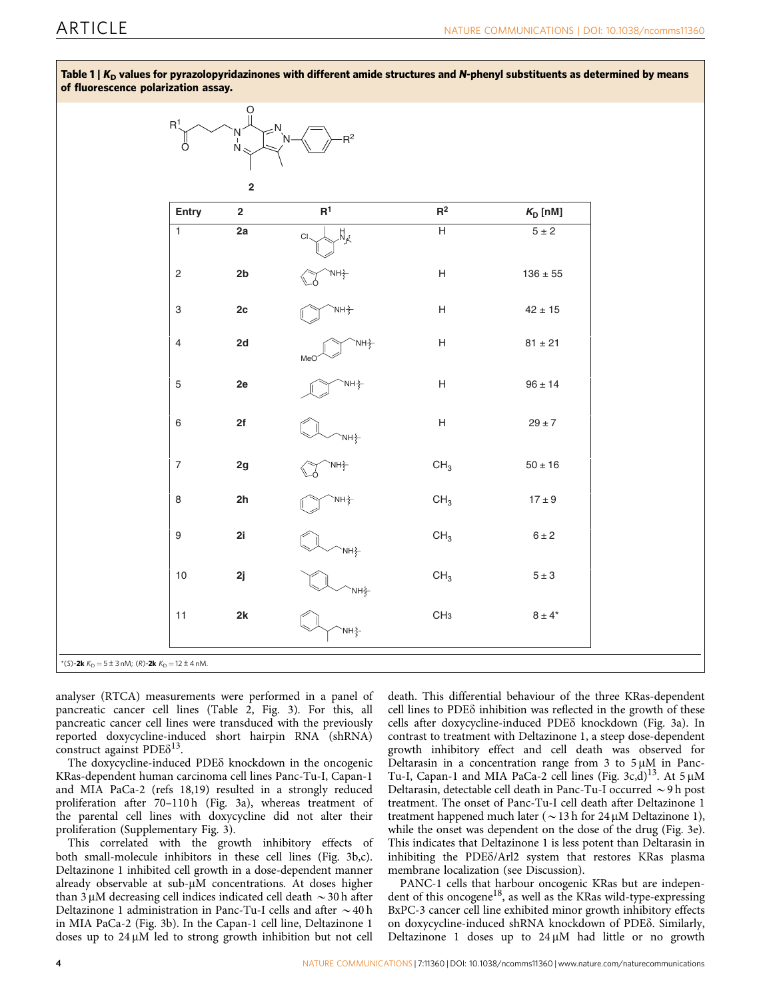| ö                         | 'N<br>N<                      | $-R^2$                      |                           |                                  |
|---------------------------|-------------------------------|-----------------------------|---------------------------|----------------------------------|
|                           | $\mathbf 2$                   | $R^1$                       | $\mathsf{R}^2$            |                                  |
| Entry<br>$\overline{1}$   | $\overline{\mathbf{2}}$<br>2a | H<br>Az<br>$CI_{\sim}$      | $\overline{H}$            | $K_{\text{D}}$ [nM]<br>$5 \pm 2$ |
| $\sqrt{2}$                | 2b                            | `NH <sup>{</sup>            | $\boldsymbol{\mathsf{H}}$ | $136\pm55$                       |
| $\ensuremath{\mathsf{3}}$ | $2\mathtt{c}$                 | `NH <sup>\$</sup>           | $\boldsymbol{\mathsf{H}}$ | $42\pm15$                        |
| $\overline{4}$            | 2d                            | `NH <sup>{</sup><br>MeO     | $\boldsymbol{\mathsf{H}}$ | $81\pm21$                        |
| $\mathbf 5$               | 2e                            | `NH <sup>\$</sup>           | $\boldsymbol{\mathsf{H}}$ | $96 \pm 14$                      |
| $\,6\,$                   | $2f$                          | `NH <sup>{</sup>            | $\boldsymbol{\mathsf{H}}$ | $29\pm7$                         |
| $\overline{\mathcal{I}}$  | $2g$                          | `NH <del>}</del>            | CH <sub>3</sub>           | $50\pm16$                        |
| 8                         | 2h                            | `NH <sup>\$</sup>           | $\mathsf{CH}_3$           | $17\pm9$                         |
| $\boldsymbol{9}$          | 2i                            | `NH <sup>\$</sup>           | $\mathsf{CH}_3$           | $6\pm2$                          |
| $10$                      | $2j$                          | NH <sup>\$</sup>            | $\mathsf{CH}_3$           | $5\pm3$                          |
| 11                        | 2k                            | $\mathsf{NH}_{\xi}^{\xi}$ - | CH <sub>3</sub>           | $8\pm4^{\star}$                  |

Table 1  $|K_D$  values for pyrazolopyridazinones with different amide structures and N-phenyl substituents as determined by means of fluorescence polarization assay.

analyser (RTCA) measurements were performed in a panel of pancreatic cancer cell lines (Table 2, Fig. 3). For this, all pancreatic cancer cell lines were transduced with the previously reported doxycycline-induced short hairpin RNA (shRNA) construct against  $PDE\delta^{13}$ .

The doxycycline-induced PDE<sub>8</sub> knockdown in the oncogenic KRas-dependent human carcinoma cell lines Panc-Tu-I, Capan-1 and MIA PaCa-2 (refs 18,19) resulted in a strongly reduced proliferation after 70-110h (Fig. 3a), whereas treatment of the parental cell lines with doxycycline did not alter their proliferation (Supplementary Fig. 3).

This correlated with the growth inhibitory effects of both small-molecule inhibitors in these cell lines (Fig. 3b,c). Deltazinone 1 inhibited cell growth in a dose-dependent manner already observable at sub-µM concentrations. At doses higher than  $3 \mu$ M decreasing cell indices indicated cell death  $\sim$  30 h after Deltazinone 1 administration in Panc-Tu-I cells and after  $\sim$  40 h in MIA PaCa-2 (Fig. 3b). In the Capan-1 cell line, Deltazinone 1 doses up to 24 µM led to strong growth inhibition but not cell

death. This differential behaviour of the three KRas-dependent cell lines to PDE<sub>o</sub> inhibition was reflected in the growth of these cells after doxycycline-induced PDEd knockdown (Fig. 3a). In contrast to treatment with Deltazinone 1, a steep dose-dependent growth inhibitory effect and cell death was observed for Deltarasin in a concentration range from 3 to  $5 \mu M$  in Panc-Tu-I, Capan-1 and MIA PaCa-2 cell lines (Fig. 3c,d)<sup>13</sup>. At 5  $\mu$ M Deltarasin, detectable cell death in Panc-Tu-I occurred  $\sim$  9 h post treatment. The onset of Panc-Tu-I cell death after Deltazinone 1 treatment happened much later ( $\sim$  13 h for 24 µM Deltazinone 1), while the onset was dependent on the dose of the drug (Fig. 3e). This indicates that Deltazinone 1 is less potent than Deltarasin in inhibiting the PDES/Arl2 system that restores KRas plasma membrane localization (see Discussion).

PANC-1 cells that harbour oncogenic KRas but are independent of this oncogene<sup>18</sup>, as well as the KRas wild-type-expressing BxPC-3 cancer cell line exhibited minor growth inhibitory effects on doxycycline-induced shRNA knockdown of PDEd. Similarly, Deltazinone 1 doses up to  $24 \mu M$  had little or no growth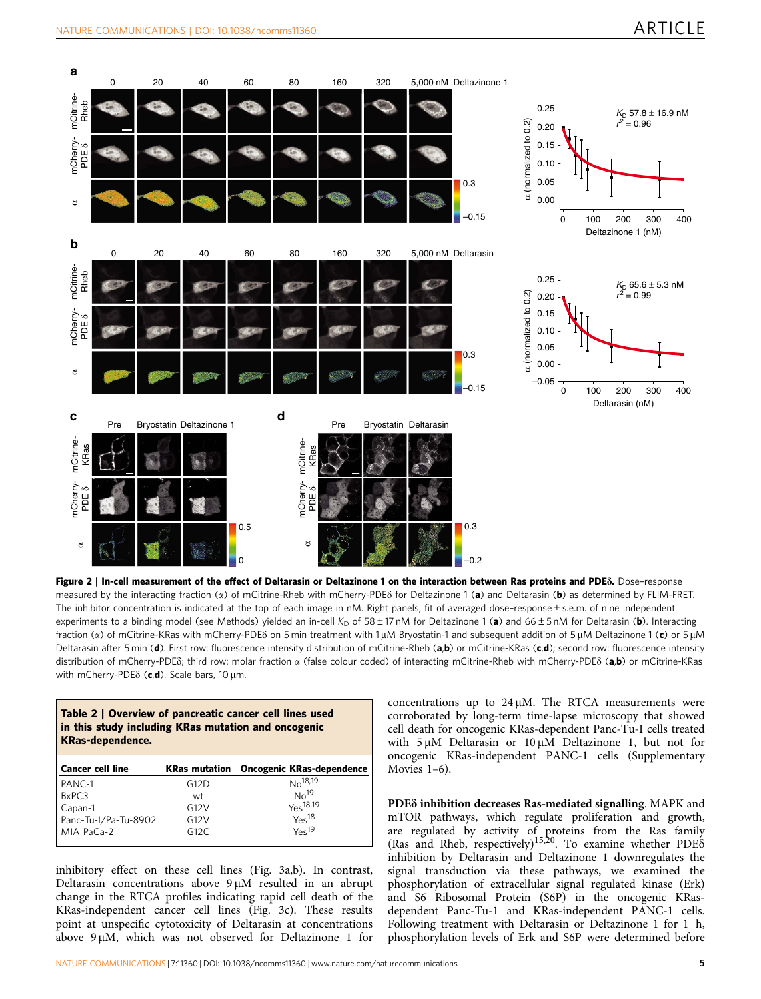

Figure 2 | In-cell measurement of the effect of Deltarasin or Deltazinone 1 on the interaction between Ras proteins and PDE<sub>o. Dose-response</sub> measured by the interacting fraction ( $\alpha$ ) of mCitrine-Rheb with mCherry-PDE $\delta$  for Deltazinone 1 (a) and Deltarasin (b) as determined by FLIM-FRET. The inhibitor concentration is indicated at the top of each image in nM. Right panels, fit of averaged dose-response ± s.e.m. of nine independent experiments to a binding model (see Methods) yielded an in-cell K<sub>D</sub> of 58 ± 17 nM for Deltazinone 1 (a) and 66 ± 5 nM for Deltarasin (b). Interacting fraction ( $\alpha$ ) of mCitrine-KRas with mCherry-PDE $\delta$  on 5 min treatment with 1µM Bryostatin-1 and subsequent addition of 5 µM Deltazinone 1 (c) or 5 µM Deltarasin after 5 min (d). First row: fluorescence intensity distribution of mCitrine-Rheb (a,b) or mCitrine-KRas (c,d); second row: fluorescence intensity distribution of mCherry-PDE $\delta$ ; third row: molar fraction  $\alpha$  (false colour coded) of interacting mCitrine-Rheb with mCherry-PDE $\delta$  (a,b) or mCitrine-KRas with mCherry-PDE $\delta$  (c,d). Scale bars, 10  $\mu$ m.

| Table 2   Overview of pancreatic cancer cell lines used<br>in this study including KRas mutation and oncogenic<br><b>KRas-dependence.</b> |                      |                                  |  |  |  |  |
|-------------------------------------------------------------------------------------------------------------------------------------------|----------------------|----------------------------------|--|--|--|--|
| <b>Cancer cell line</b>                                                                                                                   | <b>KRas mutation</b> | <b>Oncogenic KRas-dependence</b> |  |  |  |  |
| PANC-1                                                                                                                                    | G12D                 | $No^{18,19}$                     |  |  |  |  |
| BxPC3                                                                                                                                     | wt                   | $N0$ <sup>19</sup>               |  |  |  |  |
| Capan-1                                                                                                                                   | G12V                 | Yes <sup>18,19</sup>             |  |  |  |  |
| Panc-Tu-I/Pa-Tu-8902                                                                                                                      | G12V                 | $Yes^{18}$                       |  |  |  |  |
| MIA PaCa-2                                                                                                                                | G12C                 | Yes <sup>19</sup>                |  |  |  |  |

inhibitory effect on these cell lines (Fig. 3a,b). In contrast, Deltarasin concentrations above  $9 \mu M$  resulted in an abrupt change in the RTCA profiles indicating rapid cell death of the KRas-independent cancer cell lines (Fig. 3c). These results point at unspecific cytotoxicity of Deltarasin at concentrations above  $9 \mu$ M, which was not observed for Deltazinone 1 for concentrations up to  $24 \mu M$ . The RTCA measurements were corroborated by long-term time-lapse microscopy that showed cell death for oncogenic KRas-dependent Panc-Tu-I cells treated with  $5 \mu$ M Deltarasin or  $10 \mu$ M Deltazinone 1, but not for oncogenic KRas-independent PANC-1 cells (Supplementary Movies 1–6).

PDE $\delta$  inhibition decreases Ras-mediated signalling. MAPK and mTOR pathways, which regulate proliferation and growth, are regulated by activity of proteins from the Ras family (Ras and Rheb, respectively)<sup>15,20</sup>. To examine whether PDE<sup>8</sup> inhibition by Deltarasin and Deltazinone 1 downregulates the signal transduction via these pathways, we examined the phosphorylation of extracellular signal regulated kinase (Erk) and S6 Ribosomal Protein (S6P) in the oncogenic KRasdependent Panc-Tu-1 and KRas-independent PANC-1 cells. Following treatment with Deltarasin or Deltazinone 1 for 1 h, phosphorylation levels of Erk and S6P were determined before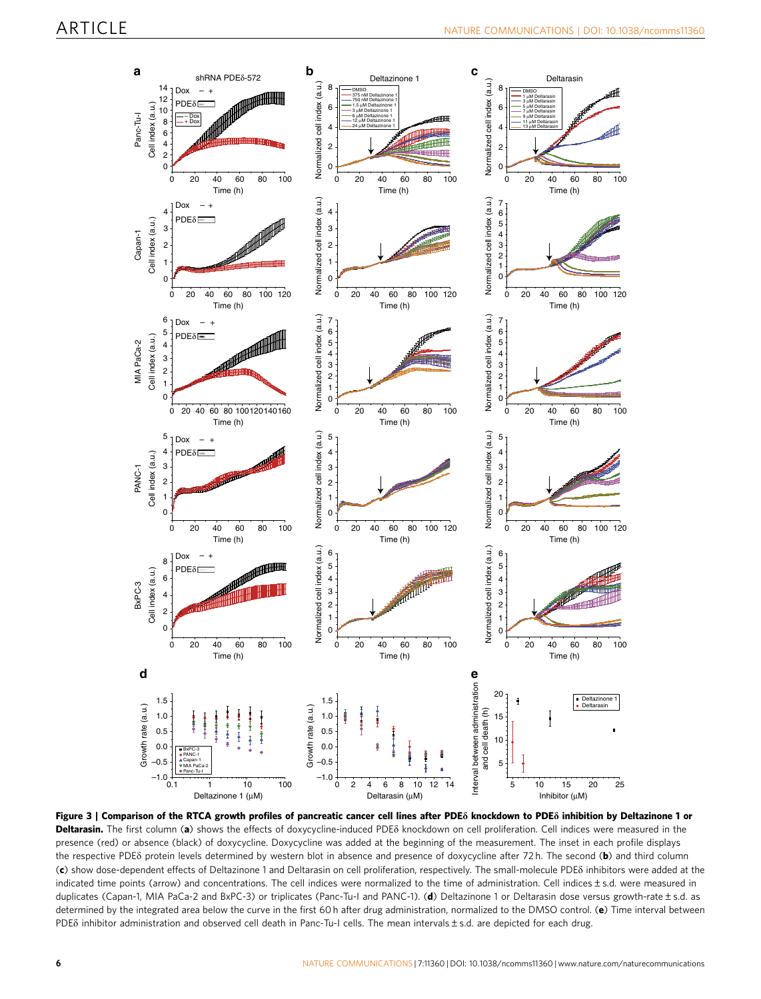

Figure 3 | Comparison of the RTCA growth profiles of pancreatic cancer cell lines after PDE<sub>0</sub> knockdown to PDE<sub>0</sub> inhibition by Deltazinone 1 or Deltarasin. The first column (a) shows the effects of doxycycline-induced PDE8 knockdown on cell proliferation. Cell indices were measured in the presence (red) or absence (black) of doxycycline. Doxycycline was added at the beginning of the measurement. The inset in each profile displays the respective PDE<sub>0</sub> protein levels determined by western blot in absence and presence of doxycycline after 72 h. The second (b) and third column (c) show dose-dependent effects of Deltazinone 1 and Deltarasin on cell proliferation, respectively. The small-molecule PDEd inhibitors were added at the indicated time points (arrow) and concentrations. The cell indices were normalized to the time of administration. Cell indices ± s.d. were measured in duplicates (Capan-1, MIA PaCa-2 and BxPC-3) or triplicates (Panc-Tu-I and PANC-1). (d) Deltazinone 1 or Deltarasin dose versus growth-rate ± s.d. as determined by the integrated area below the curve in the first 60 h after drug administration, normalized to the DMSO control. (e) Time interval between PDE<sub>8</sub> inhibitor administration and observed cell death in Panc-Tu-I cells. The mean intervals ± s.d. are depicted for each drug.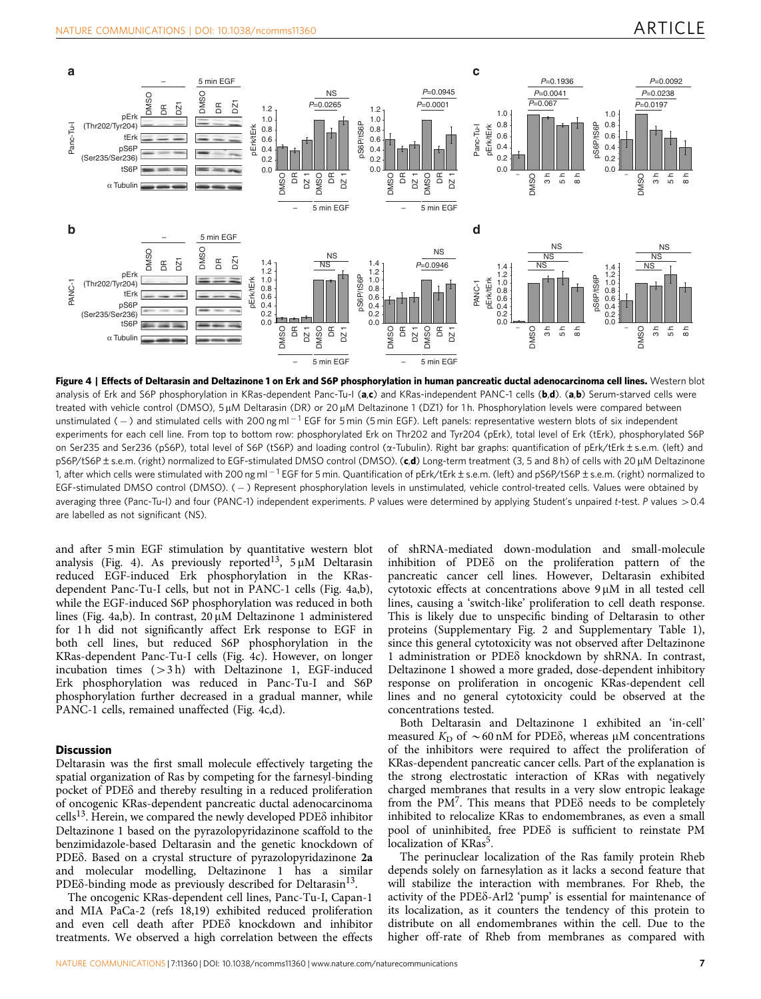

Figure 4 | Effects of Deltarasin and Deltazinone 1 on Erk and S6P phosphorylation in human pancreatic ductal adenocarcinoma cell lines. Western blot analysis of Erk and S6P phosphorylation in KRas-dependent Panc-Tu-I (a,c) and KRas-independent PANC-1 cells (b,d). (a,b) Serum-starved cells were treated with vehicle control (DMSO), 5 µM Deltarasin (DR) or 20 µM Deltazinone 1 (DZ1) for 1 h. Phosphorylation levels were compared between unstimulated ( – ) and stimulated cells with 200 ng ml  $^{-1}$  EGF for 5 min (5 min EGF). Left panels: representative western blots of six independent experiments for each cell line. From top to bottom row: phosphorylated Erk on Thr202 and Tyr204 (pErk), total level of Erk (tErk), phosphorylated S6P on Ser235 and Ser236 (pS6P), total level of S6P (tS6P) and loading control (a-Tubulin). Right bar graphs: quantification of pErk/tErk±s.e.m. (left) and pS6P/tS6P±s.e.m. (right) normalized to EGF-stimulated DMSO control (DMSO). (c,d) Long-term treatment (3, 5 and 8 h) of cells with 20 µM Deltazinone 1, after which cells were stimulated with 200 ng ml  $^{-1}$  EGF for 5 min. Quantification of pErk/tErk±s.e.m. (left) and pS6P/tS6P±s.e.m. (right) normalized to EGF-stimulated DMSO control (DMSO). ( – ) Represent phosphorylation levels in unstimulated, vehicle control-treated cells. Values were obtained by averaging three (Panc-Tu-I) and four (PANC-1) independent experiments. P values were determined by applying Student's unpaired t-test. P values > 0.4 are labelled as not significant (NS).

and after 5 min EGF stimulation by quantitative western blot analysis (Fig. 4). As previously reported<sup>13</sup>,  $5 \mu M$  Deltarasin reduced EGF-induced Erk phosphorylation in the KRasdependent Panc-Tu-I cells, but not in PANC-1 cells (Fig. 4a,b), while the EGF-induced S6P phosphorylation was reduced in both lines (Fig. 4a,b). In contrast,  $20 \mu M$  Deltazinone 1 administered for 1 h did not significantly affect Erk response to EGF in both cell lines, but reduced S6P phosphorylation in the KRas-dependent Panc-Tu-I cells (Fig. 4c). However, on longer incubation times  $(>3 h)$  with Deltazinone 1, EGF-induced Erk phosphorylation was reduced in Panc-Tu-I and S6P phosphorylation further decreased in a gradual manner, while PANC-1 cells, remained unaffected (Fig. 4c,d).

### **Discussion**

Deltarasin was the first small molecule effectively targeting the spatial organization of Ras by competing for the farnesyl-binding pocket of PDEd and thereby resulting in a reduced proliferation of oncogenic KRas-dependent pancreatic ductal adenocarcinoma cells<sup>13</sup>. Herein, we compared the newly developed PDE $\delta$  inhibitor Deltazinone 1 based on the pyrazolopyridazinone scaffold to the benzimidazole-based Deltarasin and the genetic knockdown of PDE<sub>8</sub>. Based on a crystal structure of pyrazolopyridazinone 2a and molecular modelling, Deltazinone 1 has a similar PDE $\delta$ -binding mode as previously described for Deltarasin<sup>13</sup>.

The oncogenic KRas-dependent cell lines, Panc-Tu-I, Capan-1 and MIA PaCa-2 (refs 18,19) exhibited reduced proliferation and even cell death after PDEd knockdown and inhibitor treatments. We observed a high correlation between the effects

of shRNA-mediated down-modulation and small-molecule inhibition of PDEd on the proliferation pattern of the pancreatic cancer cell lines. However, Deltarasin exhibited cytotoxic effects at concentrations above  $9 \mu M$  in all tested cell lines, causing a 'switch-like' proliferation to cell death response. This is likely due to unspecific binding of Deltarasin to other proteins (Supplementary Fig. 2 and Supplementary Table 1), since this general cytotoxicity was not observed after Deltazinone 1 administration or PDEd knockdown by shRNA. In contrast, Deltazinone 1 showed a more graded, dose-dependent inhibitory response on proliferation in oncogenic KRas-dependent cell lines and no general cytotoxicity could be observed at the concentrations tested.

Both Deltarasin and Deltazinone 1 exhibited an 'in-cell' measured  $K_D$  of  $\sim 60$  nM for PDE $\delta$ , whereas  $\mu$ M concentrations of the inhibitors were required to affect the proliferation of KRas-dependent pancreatic cancer cells. Part of the explanation is the strong electrostatic interaction of KRas with negatively charged membranes that results in a very slow entropic leakage from the  $PM^7$ . This means that  $PDE\delta$  needs to be completely inhibited to relocalize KRas to endomembranes, as even a small pool of uninhibited, free PDE<sub>o</sub> is sufficient to reinstate PM localization of KRas<sup>5</sup>.

The perinuclear localization of the Ras family protein Rheb depends solely on farnesylation as it lacks a second feature that will stabilize the interaction with membranes. For Rheb, the activity of the PDE<sub>o</sub>-Arl<sub>2</sub> 'pump' is essential for maintenance of its localization, as it counters the tendency of this protein to distribute on all endomembranes within the cell. Due to the higher off-rate of Rheb from membranes as compared with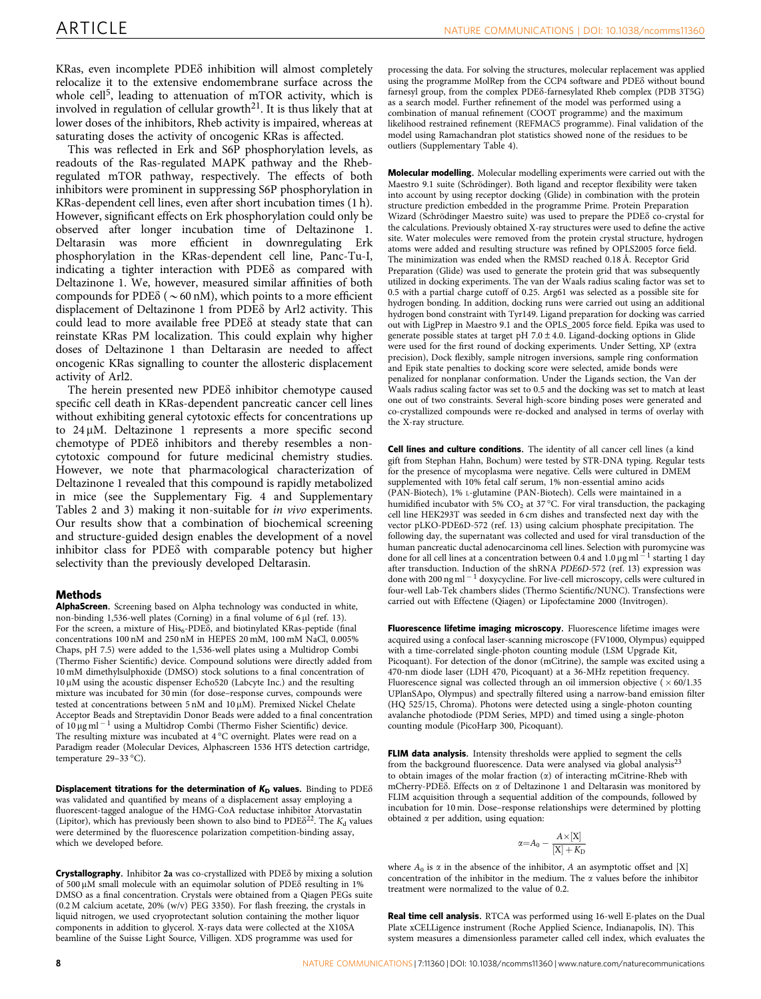KRas, even incomplete PDE $\delta$  inhibition will almost completely relocalize it to the extensive endomembrane surface across the whole cell<sup>5</sup>, leading to attenuation of mTOR activity, which is involved in regulation of cellular growth<sup>21</sup>. It is thus likely that at lower doses of the inhibitors, Rheb activity is impaired, whereas at saturating doses the activity of oncogenic KRas is affected.

This was reflected in Erk and S6P phosphorylation levels, as readouts of the Ras-regulated MAPK pathway and the Rhebregulated mTOR pathway, respectively. The effects of both inhibitors were prominent in suppressing S6P phosphorylation in KRas-dependent cell lines, even after short incubation times (1 h). However, significant effects on Erk phosphorylation could only be observed after longer incubation time of Deltazinone 1. Deltarasin was more efficient in downregulating Erk phosphorylation in the KRas-dependent cell line, Panc-Tu-I, indicating a tighter interaction with PDEd as compared with Deltazinone 1. We, however, measured similar affinities of both compounds for PDE $\delta$  ( $\sim$  60 nM), which points to a more efficient displacement of Deltazinone 1 from PDEd by Arl2 activity. This could lead to more available free PDEd at steady state that can reinstate KRas PM localization. This could explain why higher doses of Deltazinone 1 than Deltarasin are needed to affect oncogenic KRas signalling to counter the allosteric displacement activity of Arl2.

The herein presented new PDE<sub>o</sub> inhibitor chemotype caused specific cell death in KRas-dependent pancreatic cancer cell lines without exhibiting general cytotoxic effects for concentrations up to  $24 \mu$ M. Deltazinone 1 represents a more specific second chemotype of PDEd inhibitors and thereby resembles a noncytotoxic compound for future medicinal chemistry studies. However, we note that pharmacological characterization of Deltazinone 1 revealed that this compound is rapidly metabolized in mice (see the Supplementary Fig. 4 and Supplementary Tables 2 and 3) making it non-suitable for in vivo experiments. Our results show that a combination of biochemical screening and structure-guided design enables the development of a novel inhibitor class for PDEd with comparable potency but higher selectivity than the previously developed Deltarasin.

#### Methods

AlphaScreen. Screening based on Alpha technology was conducted in white, non-binding 1,536-well plates (Corning) in a final volume of 6 µl (ref. 13). For the screen, a mixture of  $His<sub>6</sub>$ -PDE $\delta$ , and biotinylated KRas-peptide (final concentrations 100 nM and 250 nM in HEPES 20 mM, 100 mM NaCl, 0.005% Chaps, pH 7.5) were added to the 1,536-well plates using a Multidrop Combi (Thermo Fisher Scientific) device. Compound solutions were directly added from 10 mM dimethylsulphoxide (DMSO) stock solutions to a final concentration of 10 mM using the acoustic dispenser Echo520 (Labcyte Inc.) and the resulting mixture was incubated for 30 min (for dose–response curves, compounds were tested at concentrations between 5 nM and 10 µM). Premixed Nickel Chelate Acceptor Beads and Streptavidin Donor Beads were added to a final concentration of  $10 \mu$ g ml<sup>-1</sup> using a Multidrop Combi (Thermo Fisher Scientific) device. The resulting mixture was incubated at  $4^{\circ}$ C overnight. Plates were read on a Paradigm reader (Molecular Devices, Alphascreen 1536 HTS detection cartridge, temperature 29-33 °C).

Displacement titrations for the determination of  $K_D$  values. Binding to PDE $\delta$ was validated and quantified by means of a displacement assay employing a fluorescent-tagged analogue of the HMG-CoA reductase inhibitor Atorvastatin (Lipitor), which has previously been shown to also bind to  $PDE\delta^{22}$ . The  $K_d$  values were determined by the fluorescence polarization competition-binding assay, which we developed before.

Crystallography. Inhibitor 2a was co-crystallized with PDEd by mixing a solution of 500 µM small molecule with an equimolar solution of PDE $\delta$  resulting in 1% DMSO as a final concentration. Crystals were obtained from a Qiagen PEGs suite (0.2 M calcium acetate, 20% (w/v) PEG 3350). For flash freezing, the crystals in liquid nitrogen, we used cryoprotectant solution containing the mother liquor components in addition to glycerol. X-rays data were collected at the X10SA beamline of the Suisse Light Source, Villigen. XDS programme was used for

processing the data. For solving the structures, molecular replacement was applied using the programme MolRep from the CCP4 software and PDEd without bound farnesyl group, from the complex PDEd-farnesylated Rheb complex (PDB 3T5G) as a search model. Further refinement of the model was performed using a combination of manual refinement (COOT programme) and the maximum likelihood restrained refinement (REFMAC5 programme). Final validation of the model using Ramachandran plot statistics showed none of the residues to be outliers (Supplementary Table 4).

Molecular modelling. Molecular modelling experiments were carried out with the Maestro 9.1 suite (Schrödinger). Both ligand and receptor flexibility were taken into account by using receptor docking (Glide) in combination with the protein structure prediction embedded in the programme Prime. Protein Preparation Wizard (Schrödinger Maestro suite) was used to prepare the PDE<sub>o</sub> co-crystal for the calculations. Previously obtained X-ray structures were used to define the active site. Water molecules were removed from the protein crystal structure, hydrogen atoms were added and resulting structure was refined by OPLS2005 force field. The minimization was ended when the RMSD reached 0.18 Å. Receptor Grid Preparation (Glide) was used to generate the protein grid that was subsequently utilized in docking experiments. The van der Waals radius scaling factor was set to 0.5 with a partial charge cutoff of 0.25. Arg61 was selected as a possible site for hydrogen bonding. In addition, docking runs were carried out using an additional hydrogen bond constraint with Tyr149. Ligand preparation for docking was carried out with LigPrep in Maestro 9.1 and the OPLS\_2005 force field. Epika was used to generate possible states at target pH  $7.0 \pm 4.0$ . Ligand-docking options in Glide were used for the first round of docking experiments. Under Setting, XP (extra precision), Dock flexibly, sample nitrogen inversions, sample ring conformation and Epik state penalties to docking score were selected, amide bonds were penalized for nonplanar conformation. Under the Ligands section, the Van der Waals radius scaling factor was set to 0.5 and the docking was set to match at least one out of two constraints. Several high-score binding poses were generated and co-crystallized compounds were re-docked and analysed in terms of overlay with the X-ray structure.

Cell lines and culture conditions. The identity of all cancer cell lines (a kind gift from Stephan Hahn, Bochum) were tested by STR-DNA typing. Regular tests for the presence of mycoplasma were negative. Cells were cultured in DMEM supplemented with 10% fetal calf serum, 1% non-essential amino acids (PAN-Biotech), 1% <sup>L</sup>-glutamine (PAN-Biotech). Cells were maintained in a humidified incubator with 5%  $CO<sub>2</sub>$  at 37 °C. For viral transduction, the packaging cell line HEK293T was seeded in 6 cm dishes and transfected next day with the vector pLKO-PDE6D-572 (ref. 13) using calcium phosphate precipitation. The following day, the supernatant was collected and used for viral transduction of the human pancreatic ductal adenocarcinoma cell lines. Selection with puromycine was done for all cell lines at a concentration between 0.4 and 1.0  $\mu$ g ml<sup>-1</sup> starting 1 day after transduction. Induction of the shRNA PDE6D-572 (ref. 13) expression was done with 200 ng ml<sup>-1</sup> doxycycline. For live-cell microscopy, cells were cultured in four-well Lab-Tek chambers slides (Thermo Scientific/NUNC). Transfections were carried out with Effectene (Qiagen) or Lipofectamine 2000 (Invitrogen).

Fluorescence lifetime imaging microscopy. Fluorescence lifetime images were acquired using a confocal laser-scanning microscope (FV1000, Olympus) equipped with a time-correlated single-photon counting module (LSM Upgrade Kit, Picoquant). For detection of the donor (mCitrine), the sample was excited using a 470-nm diode laser (LDH 470, Picoquant) at a 36-MHz repetition frequency. Fluorescence signal was collected through an oil immersion objective  $(x + 60/1.35)$ UPlanSApo, Olympus) and spectrally filtered using a narrow-band emission filter (HQ 525/15, Chroma). Photons were detected using a single-photon counting avalanche photodiode (PDM Series, MPD) and timed using a single-photon counting module (PicoHarp 300, Picoquant).

FLIM data analysis. Intensity thresholds were applied to segment the cells from the background fluorescence. Data were analysed via global analysis<sup>23</sup> to obtain images of the molar fraction  $(\alpha)$  of interacting mCitrine-Rheb with mCherry-PDE $\delta$ . Effects on  $\alpha$  of Deltazinone 1 and Deltarasin was monitored by FLIM acquisition through a sequential addition of the compounds, followed by incubation for 10 min. Dose–response relationships were determined by plotting obtained  $\alpha$  per addition, using equation:

$$
\alpha{=}A_0-\frac{A{\times}[{\rm X}]}{[{\rm X}]+K_{\rm D}}
$$

where  $A_0$  is  $\alpha$  in the absence of the inhibitor, A an asymptotic offset and [X] concentration of the inhibitor in the medium. The  $\alpha$  values before the inhibitor treatment were normalized to the value of 0.2.

Real time cell analysis. RTCA was performed using 16-well E-plates on the Dual Plate xCELLigence instrument (Roche Applied Science, Indianapolis, IN). This system measures a dimensionless parameter called cell index, which evaluates the